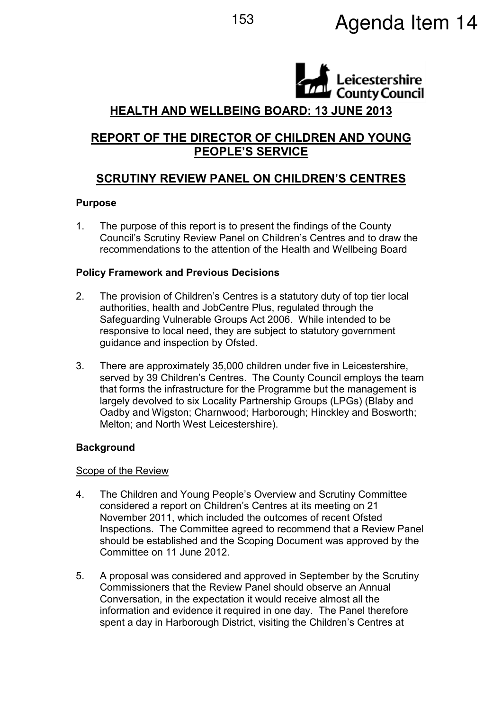# eicestershire **County Council** HEALTH AND WELLBEING BOARD: 13 JUNE 2013

# REPORT OF THE DIRECTOR OF CHILDREN AND YOUNG PEOPLE'S SERVICE

# SCRUTINY REVIEW PANEL ON CHILDREN'S CENTRES

## Purpose

1. The purpose of this report is to present the findings of the County Council's Scrutiny Review Panel on Children's Centres and to draw the recommendations to the attention of the Health and Wellbeing Board

## Policy Framework and Previous Decisions

- 2. The provision of Children's Centres is a statutory duty of top tier local authorities, health and JobCentre Plus, regulated through the Safeguarding Vulnerable Groups Act 2006. While intended to be responsive to local need, they are subject to statutory government guidance and inspection by Ofsted.
- 3. There are approximately 35,000 children under five in Leicestershire, served by 39 Children's Centres. The County Council employs the team that forms the infrastructure for the Programme but the management is largely devolved to six Locality Partnership Groups (LPGs) (Blaby and Oadby and Wigston; Charnwood; Harborough; Hinckley and Bosworth; Melton; and North West Leicestershire).

# **Background**

## Scope of the Review

- 4. The Children and Young People's Overview and Scrutiny Committee considered a report on Children's Centres at its meeting on 21 November 2011, which included the outcomes of recent Ofsted Inspections. The Committee agreed to recommend that a Review Panel should be established and the Scoping Document was approved by the Committee on 11 June 2012.
- 5. A proposal was considered and approved in September by the Scrutiny Commissioners that the Review Panel should observe an Annual Conversation, in the expectation it would receive almost all the information and evidence it required in one day. The Panel therefore spent a day in Harborough District, visiting the Children's Centres at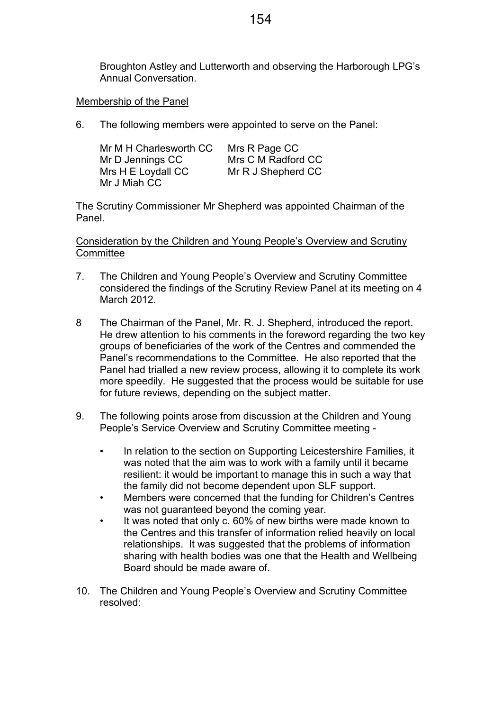Broughton Astley and Lutterworth and observing the Harborough LPG's Annual Conversation.

#### Membership of the Panel

6. The following members were appointed to serve on the Panel:

| Mr M H Charlesworth CC | Mrs R Page CC      |
|------------------------|--------------------|
| Mr D Jennings CC       | Mrs C M Radford CC |
| Mrs H E Loydall CC     | Mr R J Shepherd CC |
| Mr J Miah CC           |                    |

The Scrutiny Commissioner Mr Shepherd was appointed Chairman of the Panel.

Consideration by the Children and Young People's Overview and Scrutiny **Committee** 

- 7. The Children and Young People's Overview and Scrutiny Committee considered the findings of the Scrutiny Review Panel at its meeting on 4 March 2012.
- 8 The Chairman of the Panel, Mr. R. J. Shepherd, introduced the report. He drew attention to his comments in the foreword regarding the two key groups of beneficiaries of the work of the Centres and commended the Panel's recommendations to the Committee. He also reported that the Panel had trialled a new review process, allowing it to complete its work more speedily. He suggested that the process would be suitable for use for future reviews, depending on the subject matter.
- 9. The following points arose from discussion at the Children and Young People's Service Overview and Scrutiny Committee meeting -
	- In relation to the section on Supporting Leicestershire Families, it was noted that the aim was to work with a family until it became resilient: it would be important to manage this in such a way that the family did not become dependent upon SLF support.
	- Members were concerned that the funding for Children's Centres was not guaranteed beyond the coming year.
	- It was noted that only c. 60% of new births were made known to the Centres and this transfer of information relied heavily on local relationships. It was suggested that the problems of information sharing with health bodies was one that the Health and Wellbeing Board should be made aware of.
- 10. The Children and Young People's Overview and Scrutiny Committee resolved: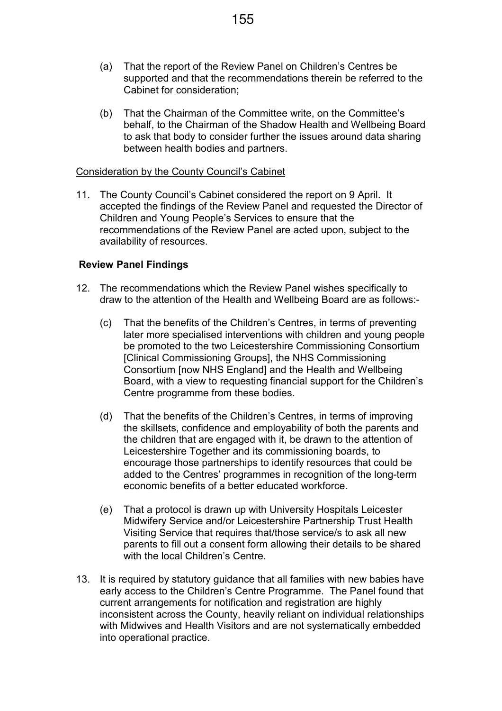- (a) That the report of the Review Panel on Children's Centres be supported and that the recommendations therein be referred to the Cabinet for consideration;
- (b) That the Chairman of the Committee write, on the Committee's behalf, to the Chairman of the Shadow Health and Wellbeing Board to ask that body to consider further the issues around data sharing between health bodies and partners.

#### Consideration by the County Council's Cabinet

11. The County Council's Cabinet considered the report on 9 April. It accepted the findings of the Review Panel and requested the Director of Children and Young People's Services to ensure that the recommendations of the Review Panel are acted upon, subject to the availability of resources.

#### Review Panel Findings

- 12. The recommendations which the Review Panel wishes specifically to draw to the attention of the Health and Wellbeing Board are as follows:-
	- (c) That the benefits of the Children's Centres, in terms of preventing later more specialised interventions with children and young people be promoted to the two Leicestershire Commissioning Consortium [Clinical Commissioning Groups], the NHS Commissioning Consortium [now NHS England] and the Health and Wellbeing Board, with a view to requesting financial support for the Children's Centre programme from these bodies.
	- (d) That the benefits of the Children's Centres, in terms of improving the skillsets, confidence and employability of both the parents and the children that are engaged with it, be drawn to the attention of Leicestershire Together and its commissioning boards, to encourage those partnerships to identify resources that could be added to the Centres' programmes in recognition of the long-term economic benefits of a better educated workforce.
	- (e) That a protocol is drawn up with University Hospitals Leicester Midwifery Service and/or Leicestershire Partnership Trust Health Visiting Service that requires that/those service/s to ask all new parents to fill out a consent form allowing their details to be shared with the local Children's Centre.
- 13. It is required by statutory guidance that all families with new babies have early access to the Children's Centre Programme. The Panel found that current arrangements for notification and registration are highly inconsistent across the County, heavily reliant on individual relationships with Midwives and Health Visitors and are not systematically embedded into operational practice.